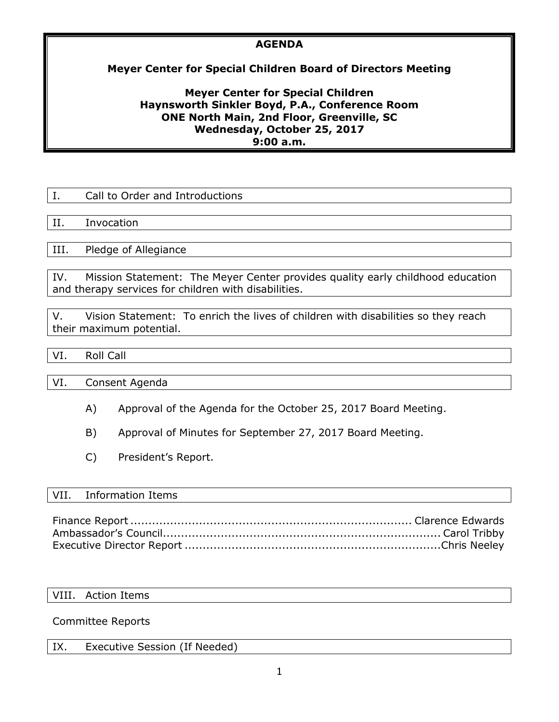## **AGENDA**

## **Meyer Center for Special Children Board of Directors Meeting**

### **Meyer Center for Special Children Haynsworth Sinkler Boyd, P.A., Conference Room ONE North Main, 2nd Floor, Greenville, SC Wednesday, October 25, 2017 9:00 a.m.**

|      | Call to Order and Introductions                                                |  |
|------|--------------------------------------------------------------------------------|--|
|      |                                                                                |  |
| H.   | Invocation                                                                     |  |
|      |                                                                                |  |
| III. | Pledge of Allegiance                                                           |  |
|      |                                                                                |  |
| IV.  | Mission Statement: The Meyer Center provides quality early childhood education |  |

and therapy services for children with disabilities.

V. Vision Statement: To enrich the lives of children with disabilities so they reach their maximum potential.

## VI. Roll Call

VI. Consent Agenda

- A) Approval of the Agenda for the October 25, 2017 Board Meeting.
- B) Approval of Minutes for September 27, 2017 Board Meeting.
- C) President's Report.

#### VII. Information Items

Finance Report.............................................................................. Clarence Edwards Ambassador's Council............................................................................. Carol Tribby Executive Director Report .......................................................................Chris Neeley

#### VIII. Action Items

#### Committee Reports

| IX. | Executive Session (If Needed) |
|-----|-------------------------------|
|-----|-------------------------------|